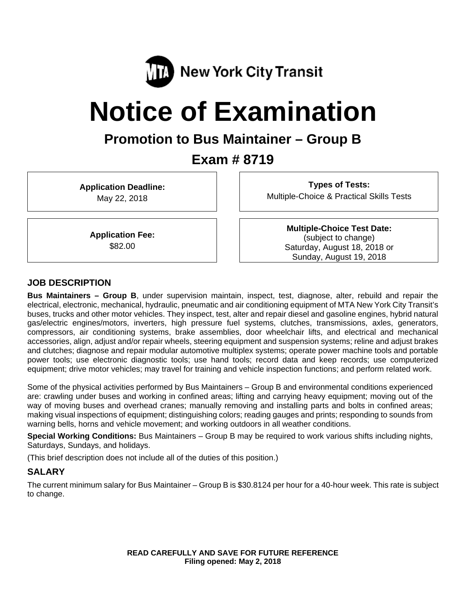

# **Notice of Examination**

# **Promotion to Bus Maintainer – Group B**

# **Exam # 8719**

**Application Deadline:**  May 22, 2018

**Types of Tests:**  Multiple-Choice & Practical Skills Tests

**Application Fee:**  \$82.00

**Multiple-Choice Test Date:** (subject to change) Saturday, August 18, 2018 or Sunday, August 19, 2018

#### **JOB DESCRIPTION**

**Bus Maintainers – Group B**, under supervision maintain, inspect, test, diagnose, alter, rebuild and repair the electrical, electronic, mechanical, hydraulic, pneumatic and air conditioning equipment of MTA New York City Transit's buses, trucks and other motor vehicles. They inspect, test, alter and repair diesel and gasoline engines, hybrid natural gas/electric engines/motors, inverters, high pressure fuel systems, clutches, transmissions, axles, generators, compressors, air conditioning systems, brake assemblies, door wheelchair lifts, and electrical and mechanical accessories, align, adjust and/or repair wheels, steering equipment and suspension systems; reline and adjust brakes and clutches; diagnose and repair modular automotive multiplex systems; operate power machine tools and portable power tools; use electronic diagnostic tools; use hand tools; record data and keep records; use computerized equipment; drive motor vehicles; may travel for training and vehicle inspection functions; and perform related work.

Some of the physical activities performed by Bus Maintainers – Group B and environmental conditions experienced are: crawling under buses and working in confined areas; lifting and carrying heavy equipment; moving out of the way of moving buses and overhead cranes; manually removing and installing parts and bolts in confined areas; making visual inspections of equipment; distinguishing colors; reading gauges and prints; responding to sounds from warning bells, horns and vehicle movement; and working outdoors in all weather conditions.

**Special Working Conditions:** Bus Maintainers – Group B may be required to work various shifts including nights, Saturdays, Sundays, and holidays.

(This brief description does not include all of the duties of this position.)

#### **SALARY**

The current minimum salary for Bus Maintainer – Group B is \$30.8124 per hour for a 40-hour week. This rate is subject to change.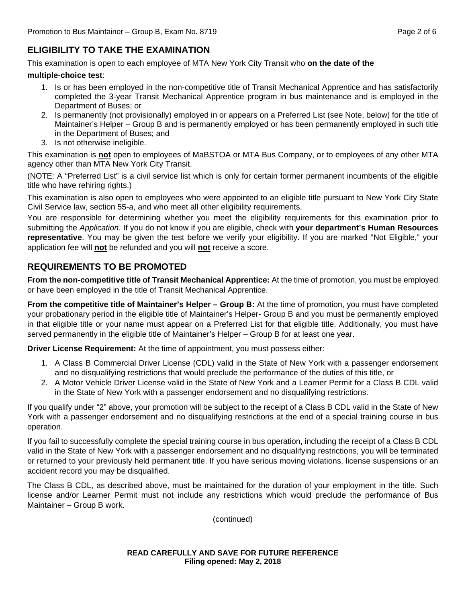# **ELIGIBILITY TO TAKE THE EXAMINATION**

This examination is open to each employee of MTA New York City Transit who **on the date of the** 

#### **multiple-choice test**:

- 1. Is or has been employed in the non-competitive title of Transit Mechanical Apprentice and has satisfactorily completed the 3-year Transit Mechanical Apprentice program in bus maintenance and is employed in the Department of Buses; or
- 2. Is permanently (not provisionally) employed in or appears on a Preferred List (see Note, below) for the title of Maintainer's Helper – Group B and is permanently employed or has been permanently employed in such title in the Department of Buses; and
- 3. Is not otherwise ineligible.

This examination is **not** open to employees of MaBSTOA or MTA Bus Company, or to employees of any other MTA agency other than MTA New York City Transit.

(NOTE: A "Preferred List" is a civil service list which is only for certain former permanent incumbents of the eligible title who have rehiring rights.)

This examination is also open to employees who were appointed to an eligible title pursuant to New York City State Civil Service law, section 55-a, and who meet all other eligibility requirements.

You are responsible for determining whether you meet the eligibility requirements for this examination prior to submitting the *Application*. If you do not know if you are eligible, check with **your department's Human Resources representative**. You may be given the test before we verify your eligibility. If you are marked "Not Eligible," your application fee will **not** be refunded and you will **not** receive a score.

# **REQUIREMENTS TO BE PROMOTED**

**From the non-competitive title of Transit Mechanical Apprentice:** At the time of promotion, you must be employed or have been employed in the title of Transit Mechanical Apprentice.

**From the competitive title of Maintainer's Helper – Group B:** At the time of promotion, you must have completed your probationary period in the eligible title of Maintainer's Helper- Group B and you must be permanently employed in that eligible title or your name must appear on a Preferred List for that eligible title. Additionally, you must have served permanently in the eligible title of Maintainer's Helper – Group B for at least one year.

**Driver License Requirement:** At the time of appointment, you must possess either:

- 1. A Class B Commercial Driver License (CDL) valid in the State of New York with a passenger endorsement and no disqualifying restrictions that would preclude the performance of the duties of this title, or
- 2. A Motor Vehicle Driver License valid in the State of New York and a Learner Permit for a Class B CDL valid in the State of New York with a passenger endorsement and no disqualifying restrictions.

If you qualify under "2" above, your promotion will be subject to the receipt of a Class B CDL valid in the State of New York with a passenger endorsement and no disqualifying restrictions at the end of a special training course in bus operation.

If you fail to successfully complete the special training course in bus operation, including the receipt of a Class B CDL valid in the State of New York with a passenger endorsement and no disqualifying restrictions, you will be terminated or returned to your previously held permanent title. If you have serious moving violations, license suspensions or an accident record you may be disqualified.

The Class B CDL, as described above, must be maintained for the duration of your employment in the title. Such license and/or Learner Permit must not include any restrictions which would preclude the performance of Bus Maintainer – Group B work.

(continued)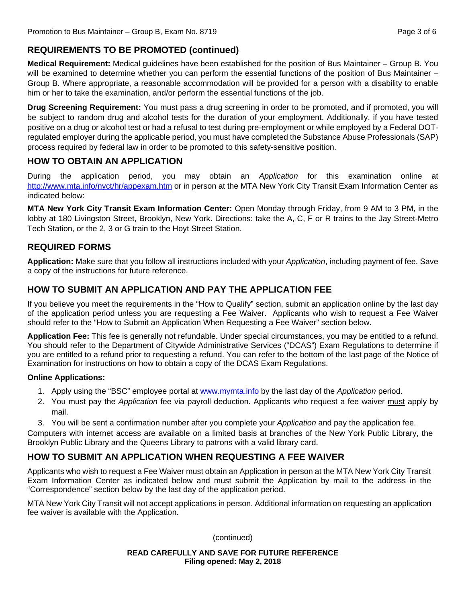# **REQUIREMENTS TO BE PROMOTED (continued)**

**Medical Requirement:** Medical guidelines have been established for the position of Bus Maintainer – Group B. You will be examined to determine whether you can perform the essential functions of the position of Bus Maintainer – Group B. Where appropriate, a reasonable accommodation will be provided for a person with a disability to enable him or her to take the examination, and/or perform the essential functions of the job.

**Drug Screening Requirement:** You must pass a drug screening in order to be promoted, and if promoted, you will be subject to random drug and alcohol tests for the duration of your employment. Additionally, if you have tested positive on a drug or alcohol test or had a refusal to test during pre-employment or while employed by a Federal DOTregulated employer during the applicable period, you must have completed the Substance Abuse Professionals (SAP) process required by federal law in order to be promoted to this safety-sensitive position.

# **HOW TO OBTAIN AN APPLICATION**

During the application period, you may obtain an *Application* for this examination online at http://www.mta.info/nyct/hr/appexam.htm or in person at the MTA New York City Transit Exam Information Center as indicated below:

**MTA New York City Transit Exam Information Center:** Open Monday through Friday, from 9 AM to 3 PM, in the lobby at 180 Livingston Street, Brooklyn, New York. Directions: take the A, C, F or R trains to the Jay Street-Metro Tech Station, or the 2, 3 or G train to the Hoyt Street Station.

# **REQUIRED FORMS**

**Application:** Make sure that you follow all instructions included with your *Application*, including payment of fee. Save a copy of the instructions for future reference.

# **HOW TO SUBMIT AN APPLICATION AND PAY THE APPLICATION FEE**

If you believe you meet the requirements in the "How to Qualify" section, submit an application online by the last day of the application period unless you are requesting a Fee Waiver. Applicants who wish to request a Fee Waiver should refer to the "How to Submit an Application When Requesting a Fee Waiver" section below.

**Application Fee:** This fee is generally not refundable. Under special circumstances, you may be entitled to a refund. You should refer to the Department of Citywide Administrative Services ("DCAS") Exam Regulations to determine if you are entitled to a refund prior to requesting a refund. You can refer to the bottom of the last page of the Notice of Examination for instructions on how to obtain a copy of the DCAS Exam Regulations.

#### **Online Applications:**

- 1. Apply using the "BSC" employee portal at www.mymta.info by the last day of the *Application* period.
- 2. You must pay the *Application* fee via payroll deduction. Applicants who request a fee waiver must apply by mail.
- 3. You will be sent a confirmation number after you complete your *Application* and pay the application fee.

Computers with internet access are available on a limited basis at branches of the New York Public Library, the Brooklyn Public Library and the Queens Library to patrons with a valid library card.

# **HOW TO SUBMIT AN APPLICATION WHEN REQUESTING A FEE WAIVER**

Applicants who wish to request a Fee Waiver must obtain an Application in person at the MTA New York City Transit Exam Information Center as indicated below and must submit the Application by mail to the address in the "Correspondence" section below by the last day of the application period.

MTA New York City Transit will not accept applications in person. Additional information on requesting an application fee waiver is available with the Application.

(continued)

**READ CAREFULLY AND SAVE FOR FUTURE REFERENCE Filing opened: May 2, 2018**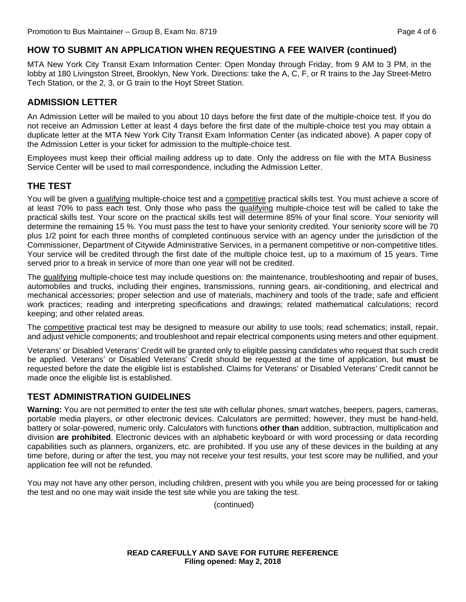#### **HOW TO SUBMIT AN APPLICATION WHEN REQUESTING A FEE WAIVER (continued)**

MTA New York City Transit Exam Information Center: Open Monday through Friday, from 9 AM to 3 PM, in the lobby at 180 Livingston Street, Brooklyn, New York. Directions: take the A, C, F, or R trains to the Jay Street-Metro Tech Station, or the 2, 3, or G train to the Hoyt Street Station.

#### **ADMISSION LETTER**

An Admission Letter will be mailed to you about 10 days before the first date of the multiple-choice test. If you do not receive an Admission Letter at least 4 days before the first date of the multiple-choice test you may obtain a duplicate letter at the MTA New York City Transit Exam Information Center (as indicated above). A paper copy of the Admission Letter is your ticket for admission to the multiple-choice test.

Employees must keep their official mailing address up to date. Only the address on file with the MTA Business Service Center will be used to mail correspondence, including the Admission Letter.

#### **THE TEST**

You will be given a qualifying multiple-choice test and a competitive practical skills test. You must achieve a score of at least 70% to pass each test. Only those who pass the qualifying multiple-choice test will be called to take the practical skills test. Your score on the practical skills test will determine 85% of your final score. Your seniority will determine the remaining 15 %. You must pass the test to have your seniority credited. Your seniority score will be 70 plus 1/2 point for each three months of completed continuous service with an agency under the jurisdiction of the Commissioner, Department of Citywide Administrative Services, in a permanent competitive or non-competitive titles. Your service will be credited through the first date of the multiple choice test, up to a maximum of 15 years. Time served prior to a break in service of more than one year will not be credited.

The qualifying multiple-choice test may include questions on: the maintenance, troubleshooting and repair of buses, automobiles and trucks, including their engines, transmissions, running gears, air-conditioning, and electrical and mechanical accessories; proper selection and use of materials, machinery and tools of the trade; safe and efficient work practices; reading and interpreting specifications and drawings; related mathematical calculations; record keeping; and other related areas.

The competitive practical test may be designed to measure our ability to use tools; read schematics; install, repair, and adjust vehicle components; and troubleshoot and repair electrical components using meters and other equipment.

Veterans' or Disabled Veterans' Credit will be granted only to eligible passing candidates who request that such credit be applied. Veterans' or Disabled Veterans' Credit should be requested at the time of application, but **must** be requested before the date the eligible list is established. Claims for Veterans' or Disabled Veterans' Credit cannot be made once the eligible list is established.

#### **TEST ADMINISTRATION GUIDELINES**

**Warning:** You are not permitted to enter the test site with cellular phones, smart watches, beepers, pagers, cameras, portable media players, or other electronic devices. Calculators are permitted; however, they must be hand-held, battery or solar-powered, numeric only. Calculators with functions **other than** addition, subtraction, multiplication and division **are prohibited**. Electronic devices with an alphabetic keyboard or with word processing or data recording capabilities such as planners, organizers, etc. are prohibited. If you use any of these devices in the building at any time before, during or after the test, you may not receive your test results, your test score may be nullified, and your application fee will not be refunded.

You may not have any other person, including children, present with you while you are being processed for or taking the test and no one may wait inside the test site while you are taking the test.

(continued)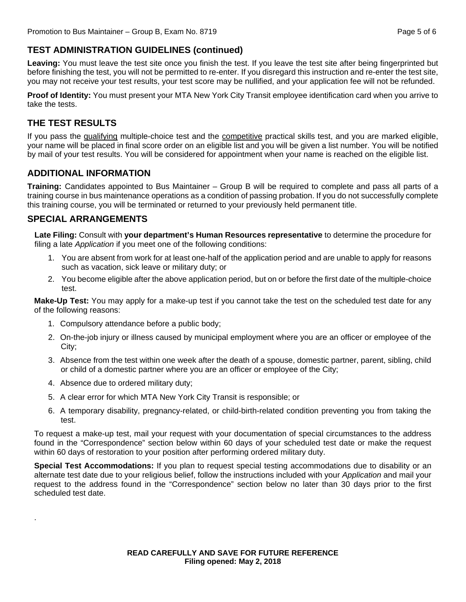# **TEST ADMINISTRATION GUIDELINES (continued)**

**Leaving:** You must leave the test site once you finish the test. If you leave the test site after being fingerprinted but before finishing the test, you will not be permitted to re-enter. If you disregard this instruction and re-enter the test site, you may not receive your test results, your test score may be nullified, and your application fee will not be refunded.

**Proof of Identity:** You must present your MTA New York City Transit employee identification card when you arrive to take the tests.

# **THE TEST RESULTS**

If you pass the qualifying multiple-choice test and the competitive practical skills test, and you are marked eligible, your name will be placed in final score order on an eligible list and you will be given a list number. You will be notified by mail of your test results. You will be considered for appointment when your name is reached on the eligible list.

### **ADDITIONAL INFORMATION**

**Training:** Candidates appointed to Bus Maintainer – Group B will be required to complete and pass all parts of a training course in bus maintenance operations as a condition of passing probation. If you do not successfully complete this training course, you will be terminated or returned to your previously held permanent title.

### **SPECIAL ARRANGEMENTS**

.

**Late Filing:** Consult with **your department's Human Resources representative** to determine the procedure for filing a late *Application* if you meet one of the following conditions:

- 1. You are absent from work for at least one-half of the application period and are unable to apply for reasons such as vacation, sick leave or military duty; or
- 2. You become eligible after the above application period, but on or before the first date of the multiple-choice test.

**Make-Up Test:** You may apply for a make-up test if you cannot take the test on the scheduled test date for any of the following reasons:

- 1. Compulsory attendance before a public body;
- 2. On-the-job injury or illness caused by municipal employment where you are an officer or employee of the City;
- 3. Absence from the test within one week after the death of a spouse, domestic partner, parent, sibling, child or child of a domestic partner where you are an officer or employee of the City;
- 4. Absence due to ordered military duty;
- 5. A clear error for which MTA New York City Transit is responsible; or
- 6. A temporary disability, pregnancy-related, or child-birth-related condition preventing you from taking the test.

To request a make-up test, mail your request with your documentation of special circumstances to the address found in the "Correspondence" section below within 60 days of your scheduled test date or make the request within 60 days of restoration to your position after performing ordered military duty.

**Special Test Accommodations:** If you plan to request special testing accommodations due to disability or an alternate test date due to your religious belief, follow the instructions included with your *Application* and mail your request to the address found in the "Correspondence" section below no later than 30 days prior to the first scheduled test date.